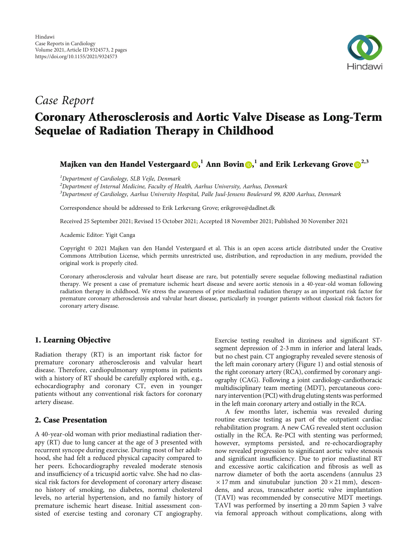

## Case Report

# Coronary Atherosclerosis and Aortic Valve Disease as Long-Term Sequelae of Radiation Therapy in Childhood

Majken van den Handel Vestergaard <mark>()[,](https://orcid.org/0000-0001-8338-2697)</mark>  $^1$  Ann Bovin (),  $^1$  and Erik Lerkevang Grove ()<sup>2,3</sup>

<sup>1</sup>Department of Cardiology, SLB Vejle, Denmark

 $^2$ Department of Internal Medicine, Faculty of Health, Aarhus University, Aarhus, Denmark

<sup>3</sup>Department of Cardiology, Aarhus University Hospital, Palle Juul-Jensens Boulevard 99, 8200 Aarhus, Denmark

Correspondence should be addressed to Erik Lerkevang Grove; erikgrove@dadlnet.dk

Received 25 September 2021; Revised 15 October 2021; Accepted 18 November 2021; Published 30 November 2021

Academic Editor: Yigit Canga

Copyright © 2021 Majken van den Handel Vestergaard et al. This is an open access article distributed under the [Creative](https://creativecommons.org/licenses/by/4.0/) [Commons Attribution License,](https://creativecommons.org/licenses/by/4.0/) which permits unrestricted use, distribution, and reproduction in any medium, provided the original work is properly cited.

Coronary atherosclerosis and valvular heart disease are rare, but potentially severe sequelae following mediastinal radiation therapy. We present a case of premature ischemic heart disease and severe aortic stenosis in a 40-year-old woman following radiation therapy in childhood. We stress the awareness of prior mediastinal radiation therapy as an important risk factor for premature coronary atherosclerosis and valvular heart disease, particularly in younger patients without classical risk factors for coronary artery disease.

### 1. Learning Objective

Radiation therapy (RT) is an important risk factor for premature coronary atherosclerosis and valvular heart disease. Therefore, cardiopulmonary symptoms in patients with a history of RT should be carefully explored with, e.g., echocardiography and coronary CT, even in younger patients without any conventional risk factors for coronary artery disease.

#### 2. Case Presentation

A 40-year-old woman with prior mediastinal radiation therapy (RT) due to lung cancer at the age of 3 presented with recurrent syncope during exercise. During most of her adulthood, she had felt a reduced physical capacity compared to her peers. Echocardiography revealed moderate stenosis and insufficiency of a tricuspid aortic valve. She had no classical risk factors for development of coronary artery disease: no history of smoking, no diabetes, normal cholesterol levels, no arterial hypertension, and no family history of premature ischemic heart disease. Initial assessment consisted of exercise testing and coronary CT angiography.

Exercise testing resulted in dizziness and significant STsegment depression of 2-3 mm in inferior and lateral leads, but no chest pain. CT angiography revealed severe stenosis of the left main coronary artery (Figure [1\)](#page-1-0) and ostial stenosis of the right coronary artery (RCA), confirmed by coronary angiography (CAG). Following a joint cardiology-cardiothoracic multidisciplinary team meeting (MDT), percutaneous coronary intervention (PCI) with drug eluting stents was performed in the left main coronary artery and ostially in the RCA.

A few months later, ischemia was revealed during routine exercise testing as part of the outpatient cardiac rehabilitation program. A new CAG revealed stent occlusion ostially in the RCA. Re-PCI with stenting was performed; however, symptoms persisted, and re-echocardiography now revealed progression to significant aortic valve stenosis and significant insufficiency. Due to prior mediastinal RT and excessive aortic calcification and fibrosis as well as narrow diameter of both the aorta ascendens (annulus 23  $\times$  17 mm and sinutubular junction 20  $\times$  21 mm), descendens, and arcus, transcatheter aortic valve implantation (TAVI) was recommended by consecutive MDT meetings. TAVI was performed by inserting a 20 mm Sapien 3 valve via femoral approach without complications, along with